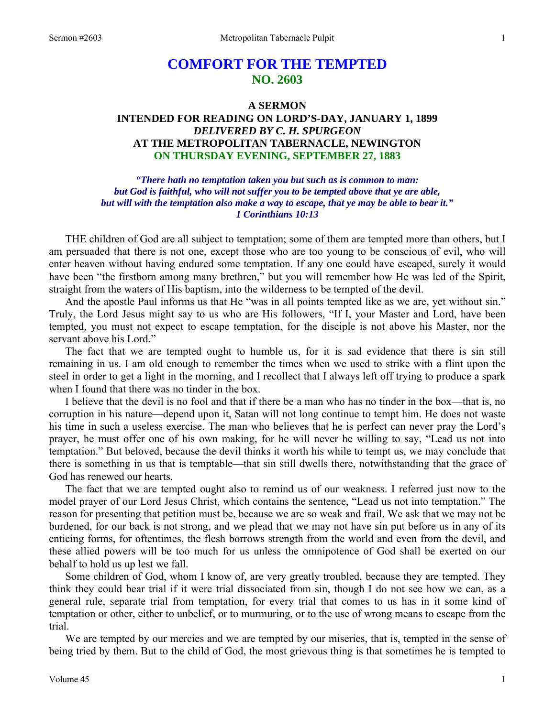## **COMFORT FOR THE TEMPTED NO. 2603**

## **A SERMON INTENDED FOR READING ON LORD'S-DAY, JANUARY 1, 1899**  *DELIVERED BY C. H. SPURGEON*  **AT THE METROPOLITAN TABERNACLE, NEWINGTON ON THURSDAY EVENING, SEPTEMBER 27, 1883**

*"There hath no temptation taken you but such as is common to man: but God is faithful, who will not suffer you to be tempted above that ye are able, but will with the temptation also make a way to escape, that ye may be able to bear it." 1 Corinthians 10:13* 

THE children of God are all subject to temptation; some of them are tempted more than others, but I am persuaded that there is not one, except those who are too young to be conscious of evil, who will enter heaven without having endured some temptation. If any one could have escaped, surely it would have been "the firstborn among many brethren," but you will remember how He was led of the Spirit, straight from the waters of His baptism, into the wilderness to be tempted of the devil.

And the apostle Paul informs us that He "was in all points tempted like as we are, yet without sin." Truly, the Lord Jesus might say to us who are His followers, "If I, your Master and Lord, have been tempted, you must not expect to escape temptation, for the disciple is not above his Master, nor the servant above his Lord."

 The fact that we are tempted ought to humble us, for it is sad evidence that there is sin still remaining in us. I am old enough to remember the times when we used to strike with a flint upon the steel in order to get a light in the morning, and I recollect that I always left off trying to produce a spark when I found that there was no tinder in the box.

 I believe that the devil is no fool and that if there be a man who has no tinder in the box—that is, no corruption in his nature—depend upon it, Satan will not long continue to tempt him. He does not waste his time in such a useless exercise. The man who believes that he is perfect can never pray the Lord's prayer, he must offer one of his own making, for he will never be willing to say, "Lead us not into temptation." But beloved, because the devil thinks it worth his while to tempt us, we may conclude that there is something in us that is temptable—that sin still dwells there, notwithstanding that the grace of God has renewed our hearts.

 The fact that we are tempted ought also to remind us of our weakness. I referred just now to the model prayer of our Lord Jesus Christ, which contains the sentence, "Lead us not into temptation." The reason for presenting that petition must be, because we are so weak and frail. We ask that we may not be burdened, for our back is not strong, and we plead that we may not have sin put before us in any of its enticing forms, for oftentimes, the flesh borrows strength from the world and even from the devil, and these allied powers will be too much for us unless the omnipotence of God shall be exerted on our behalf to hold us up lest we fall.

 Some children of God, whom I know of, are very greatly troubled, because they are tempted. They think they could bear trial if it were trial dissociated from sin, though I do not see how we can, as a general rule, separate trial from temptation, for every trial that comes to us has in it some kind of temptation or other, either to unbelief, or to murmuring, or to the use of wrong means to escape from the trial.

We are tempted by our mercies and we are tempted by our miseries, that is, tempted in the sense of being tried by them. But to the child of God, the most grievous thing is that sometimes he is tempted to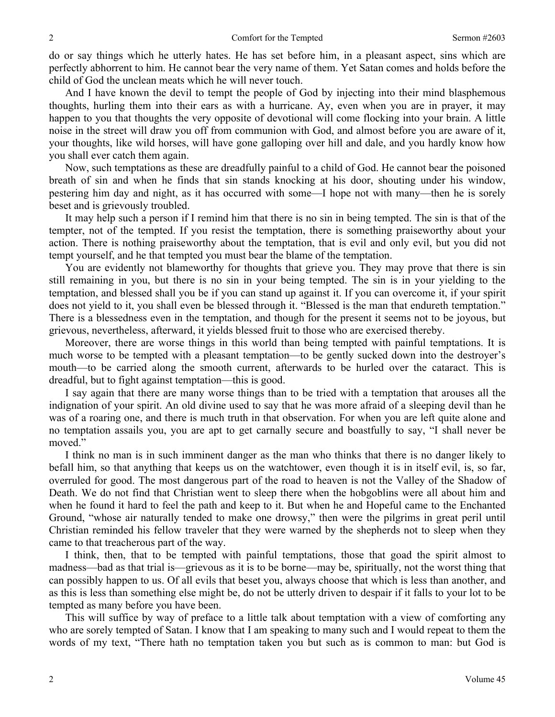do or say things which he utterly hates. He has set before him, in a pleasant aspect, sins which are perfectly abhorrent to him. He cannot bear the very name of them. Yet Satan comes and holds before the child of God the unclean meats which he will never touch.

 And I have known the devil to tempt the people of God by injecting into their mind blasphemous thoughts, hurling them into their ears as with a hurricane. Ay, even when you are in prayer, it may happen to you that thoughts the very opposite of devotional will come flocking into your brain. A little noise in the street will draw you off from communion with God, and almost before you are aware of it, your thoughts, like wild horses, will have gone galloping over hill and dale, and you hardly know how you shall ever catch them again.

 Now, such temptations as these are dreadfully painful to a child of God. He cannot bear the poisoned breath of sin and when he finds that sin stands knocking at his door, shouting under his window, pestering him day and night, as it has occurred with some—I hope not with many—then he is sorely beset and is grievously troubled.

 It may help such a person if I remind him that there is no sin in being tempted. The sin is that of the tempter, not of the tempted. If you resist the temptation, there is something praiseworthy about your action. There is nothing praiseworthy about the temptation, that is evil and only evil, but you did not tempt yourself, and he that tempted you must bear the blame of the temptation.

 You are evidently not blameworthy for thoughts that grieve you. They may prove that there is sin still remaining in you, but there is no sin in your being tempted. The sin is in your yielding to the temptation, and blessed shall you be if you can stand up against it. If you can overcome it, if your spirit does not yield to it, you shall even be blessed through it. "Blessed is the man that endureth temptation." There is a blessedness even in the temptation, and though for the present it seems not to be joyous, but grievous, nevertheless, afterward, it yields blessed fruit to those who are exercised thereby.

 Moreover, there are worse things in this world than being tempted with painful temptations. It is much worse to be tempted with a pleasant temptation—to be gently sucked down into the destroyer's mouth—to be carried along the smooth current, afterwards to be hurled over the cataract. This is dreadful, but to fight against temptation—this is good.

 I say again that there are many worse things than to be tried with a temptation that arouses all the indignation of your spirit. An old divine used to say that he was more afraid of a sleeping devil than he was of a roaring one, and there is much truth in that observation. For when you are left quite alone and no temptation assails you, you are apt to get carnally secure and boastfully to say, "I shall never be moved."

 I think no man is in such imminent danger as the man who thinks that there is no danger likely to befall him, so that anything that keeps us on the watchtower, even though it is in itself evil, is, so far, overruled for good. The most dangerous part of the road to heaven is not the Valley of the Shadow of Death. We do not find that Christian went to sleep there when the hobgoblins were all about him and when he found it hard to feel the path and keep to it. But when he and Hopeful came to the Enchanted Ground, "whose air naturally tended to make one drowsy," then were the pilgrims in great peril until Christian reminded his fellow traveler that they were warned by the shepherds not to sleep when they came to that treacherous part of the way.

 I think, then, that to be tempted with painful temptations, those that goad the spirit almost to madness—bad as that trial is—grievous as it is to be borne—may be, spiritually, not the worst thing that can possibly happen to us. Of all evils that beset you, always choose that which is less than another, and as this is less than something else might be, do not be utterly driven to despair if it falls to your lot to be tempted as many before you have been.

 This will suffice by way of preface to a little talk about temptation with a view of comforting any who are sorely tempted of Satan. I know that I am speaking to many such and I would repeat to them the words of my text, "There hath no temptation taken you but such as is common to man: but God is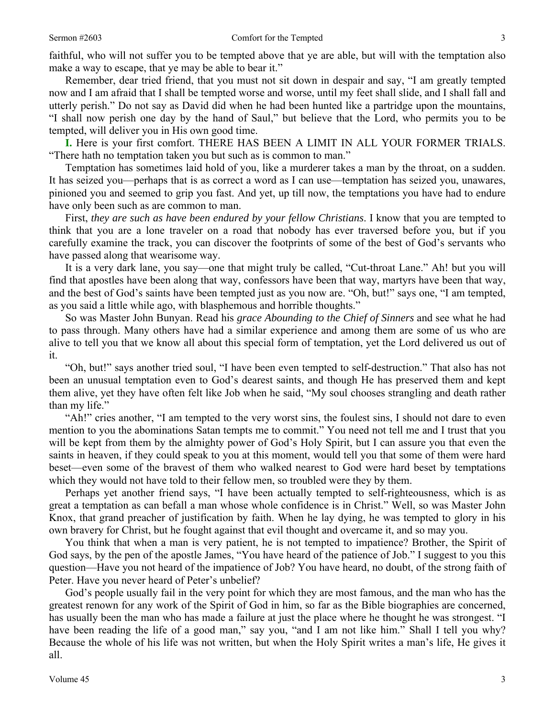Remember, dear tried friend, that you must not sit down in despair and say, "I am greatly tempted now and I am afraid that I shall be tempted worse and worse, until my feet shall slide, and I shall fall and utterly perish." Do not say as David did when he had been hunted like a partridge upon the mountains, "I shall now perish one day by the hand of Saul," but believe that the Lord, who permits you to be tempted, will deliver you in His own good time.

**I.** Here is your first comfort. THERE HAS BEEN A LIMIT IN ALL YOUR FORMER TRIALS. "There hath no temptation taken you but such as is common to man."

 Temptation has sometimes laid hold of you, like a murderer takes a man by the throat, on a sudden. It has seized you—perhaps that is as correct a word as I can use—temptation has seized you, unawares, pinioned you and seemed to grip you fast. And yet, up till now, the temptations you have had to endure have only been such as are common to man.

First, *they are such as have been endured by your fellow Christians*. I know that you are tempted to think that you are a lone traveler on a road that nobody has ever traversed before you, but if you carefully examine the track, you can discover the footprints of some of the best of God's servants who have passed along that wearisome way.

 It is a very dark lane, you say—one that might truly be called, "Cut-throat Lane." Ah! but you will find that apostles have been along that way, confessors have been that way, martyrs have been that way, and the best of God's saints have been tempted just as you now are. "Oh, but!" says one, "I am tempted, as you said a little while ago, with blasphemous and horrible thoughts."

 So was Master John Bunyan. Read his *grace Abounding to the Chief of Sinners* and see what he had to pass through. Many others have had a similar experience and among them are some of us who are alive to tell you that we know all about this special form of temptation, yet the Lord delivered us out of it.

 "Oh, but!" says another tried soul, "I have been even tempted to self-destruction." That also has not been an unusual temptation even to God's dearest saints, and though He has preserved them and kept them alive, yet they have often felt like Job when he said, "My soul chooses strangling and death rather than my life."

 "Ah!" cries another, "I am tempted to the very worst sins, the foulest sins, I should not dare to even mention to you the abominations Satan tempts me to commit." You need not tell me and I trust that you will be kept from them by the almighty power of God's Holy Spirit, but I can assure you that even the saints in heaven, if they could speak to you at this moment, would tell you that some of them were hard beset—even some of the bravest of them who walked nearest to God were hard beset by temptations which they would not have told to their fellow men, so troubled were they by them.

 Perhaps yet another friend says, "I have been actually tempted to self-righteousness, which is as great a temptation as can befall a man whose whole confidence is in Christ." Well, so was Master John Knox, that grand preacher of justification by faith. When he lay dying, he was tempted to glory in his own bravery for Christ, but he fought against that evil thought and overcame it, and so may you.

 You think that when a man is very patient, he is not tempted to impatience? Brother, the Spirit of God says, by the pen of the apostle James, "You have heard of the patience of Job." I suggest to you this question—Have you not heard of the impatience of Job? You have heard, no doubt, of the strong faith of Peter. Have you never heard of Peter's unbelief?

 God's people usually fail in the very point for which they are most famous, and the man who has the greatest renown for any work of the Spirit of God in him, so far as the Bible biographies are concerned, has usually been the man who has made a failure at just the place where he thought he was strongest. "I have been reading the life of a good man," say you, "and I am not like him." Shall I tell you why? Because the whole of his life was not written, but when the Holy Spirit writes a man's life, He gives it all.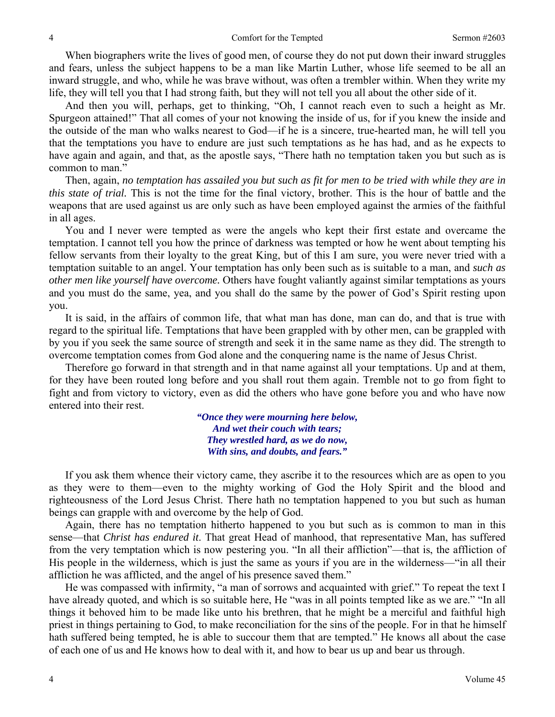When biographers write the lives of good men, of course they do not put down their inward struggles and fears, unless the subject happens to be a man like Martin Luther, whose life seemed to be all an inward struggle, and who, while he was brave without, was often a trembler within. When they write my life, they will tell you that I had strong faith, but they will not tell you all about the other side of it.

 And then you will, perhaps, get to thinking, "Oh, I cannot reach even to such a height as Mr. Spurgeon attained!" That all comes of your not knowing the inside of us, for if you knew the inside and the outside of the man who walks nearest to God—if he is a sincere, true-hearted man, he will tell you that the temptations you have to endure are just such temptations as he has had, and as he expects to have again and again, and that, as the apostle says, "There hath no temptation taken you but such as is common to man."

 Then, again, *no temptation has assailed you but such as fit for men to be tried with while they are in this state of trial.* This is not the time for the final victory, brother. This is the hour of battle and the weapons that are used against us are only such as have been employed against the armies of the faithful in all ages.

 You and I never were tempted as were the angels who kept their first estate and overcame the temptation. I cannot tell you how the prince of darkness was tempted or how he went about tempting his fellow servants from their loyalty to the great King, but of this I am sure, you were never tried with a temptation suitable to an angel. Your temptation has only been such as is suitable to a man, and *such as other men like yourself have overcome.* Others have fought valiantly against similar temptations as yours and you must do the same, yea, and you shall do the same by the power of God's Spirit resting upon you.

 It is said, in the affairs of common life, that what man has done, man can do, and that is true with regard to the spiritual life. Temptations that have been grappled with by other men, can be grappled with by you if you seek the same source of strength and seek it in the same name as they did. The strength to overcome temptation comes from God alone and the conquering name is the name of Jesus Christ.

 Therefore go forward in that strength and in that name against all your temptations. Up and at them, for they have been routed long before and you shall rout them again. Tremble not to go from fight to fight and from victory to victory, even as did the others who have gone before you and who have now entered into their rest.

> *"Once they were mourning here below, And wet their couch with tears; They wrestled hard, as we do now, With sins, and doubts, and fears."*

 If you ask them whence their victory came, they ascribe it to the resources which are as open to you as they were to them—even to the mighty working of God the Holy Spirit and the blood and righteousness of the Lord Jesus Christ. There hath no temptation happened to you but such as human beings can grapple with and overcome by the help of God.

 Again, there has no temptation hitherto happened to you but such as is common to man in this sense—that *Christ has endured it*. That great Head of manhood, that representative Man, has suffered from the very temptation which is now pestering you. "In all their affliction"—that is, the affliction of His people in the wilderness, which is just the same as yours if you are in the wilderness—"in all their affliction he was afflicted, and the angel of his presence saved them."

 He was compassed with infirmity, "a man of sorrows and acquainted with grief." To repeat the text I have already quoted, and which is so suitable here, He "was in all points tempted like as we are." "In all things it behoved him to be made like unto his brethren, that he might be a merciful and faithful high priest in things pertaining to God, to make reconciliation for the sins of the people. For in that he himself hath suffered being tempted, he is able to succour them that are tempted." He knows all about the case of each one of us and He knows how to deal with it, and how to bear us up and bear us through.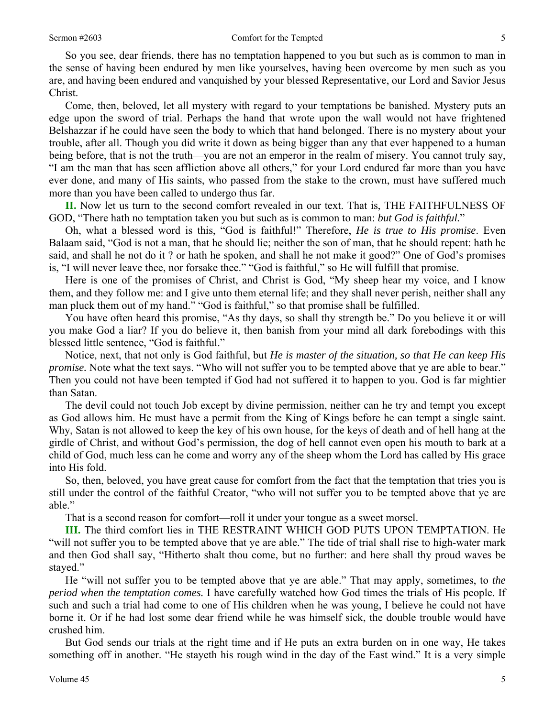So you see, dear friends, there has no temptation happened to you but such as is common to man in the sense of having been endured by men like yourselves, having been overcome by men such as you are, and having been endured and vanquished by your blessed Representative, our Lord and Savior Jesus Christ.

 Come, then, beloved, let all mystery with regard to your temptations be banished. Mystery puts an edge upon the sword of trial. Perhaps the hand that wrote upon the wall would not have frightened Belshazzar if he could have seen the body to which that hand belonged. There is no mystery about your trouble, after all. Though you did write it down as being bigger than any that ever happened to a human being before, that is not the truth—you are not an emperor in the realm of misery. You cannot truly say, "I am the man that has seen affliction above all others," for your Lord endured far more than you have ever done, and many of His saints, who passed from the stake to the crown, must have suffered much more than you have been called to undergo thus far.

**II.** Now let us turn to the second comfort revealed in our text. That is, THE FAITHFULNESS OF GOD, "There hath no temptation taken you but such as is common to man: *but God is faithful.*"

 Oh, what a blessed word is this, "God is faithful!" Therefore, *He is true to His promise*. Even Balaam said, "God is not a man, that he should lie; neither the son of man, that he should repent: hath he said, and shall he not do it ? or hath he spoken, and shall he not make it good?" One of God's promises is, "I will never leave thee, nor forsake thee." "God is faithful," so He will fulfill that promise.

 Here is one of the promises of Christ, and Christ is God, "My sheep hear my voice, and I know them, and they follow me: and I give unto them eternal life; and they shall never perish, neither shall any man pluck them out of my hand." "God is faithful," so that promise shall be fulfilled.

 You have often heard this promise, "As thy days, so shall thy strength be." Do you believe it or will you make God a liar? If you do believe it, then banish from your mind all dark forebodings with this blessed little sentence, "God is faithful."

 Notice, next, that not only is God faithful, but *He is master of the situation, so that He can keep His promise.* Note what the text says. "Who will not suffer you to be tempted above that ye are able to bear." Then you could not have been tempted if God had not suffered it to happen to you. God is far mightier than Satan.

 The devil could not touch Job except by divine permission, neither can he try and tempt you except as God allows him. He must have a permit from the King of Kings before he can tempt a single saint. Why, Satan is not allowed to keep the key of his own house, for the keys of death and of hell hang at the girdle of Christ, and without God's permission, the dog of hell cannot even open his mouth to bark at a child of God, much less can he come and worry any of the sheep whom the Lord has called by His grace into His fold.

 So, then, beloved, you have great cause for comfort from the fact that the temptation that tries you is still under the control of the faithful Creator, "who will not suffer you to be tempted above that ye are able."

That is a second reason for comfort—roll it under your tongue as a sweet morsel.

**III.** The third comfort lies in THE RESTRAINT WHICH GOD PUTS UPON TEMPTATION. He "will not suffer you to be tempted above that ye are able." The tide of trial shall rise to high-water mark and then God shall say, "Hitherto shalt thou come, but no further: and here shall thy proud waves be stayed."

 He "will not suffer you to be tempted above that ye are able." That may apply, sometimes, to *the period when the temptation comes.* I have carefully watched how God times the trials of His people. If such and such a trial had come to one of His children when he was young, I believe he could not have borne it. Or if he had lost some dear friend while he was himself sick, the double trouble would have crushed him.

 But God sends our trials at the right time and if He puts an extra burden on in one way, He takes something off in another. "He stayeth his rough wind in the day of the East wind." It is a very simple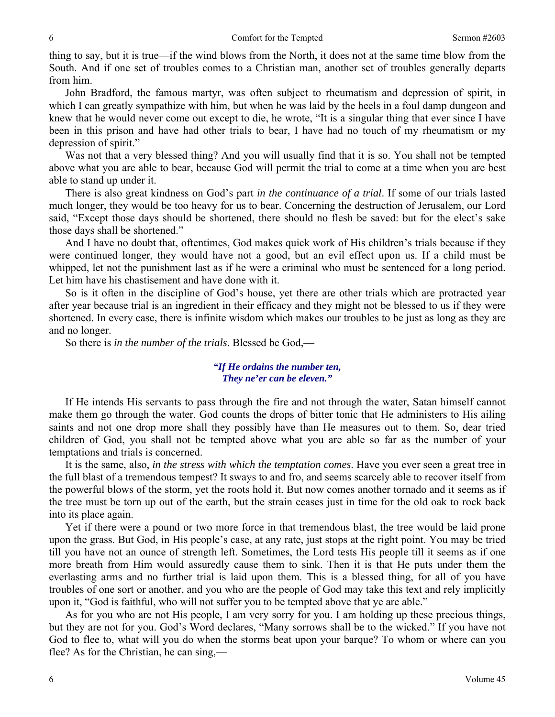thing to say, but it is true—if the wind blows from the North, it does not at the same time blow from the South. And if one set of troubles comes to a Christian man, another set of troubles generally departs from him.

 John Bradford, the famous martyr, was often subject to rheumatism and depression of spirit, in which I can greatly sympathize with him, but when he was laid by the heels in a foul damp dungeon and knew that he would never come out except to die, he wrote, "It is a singular thing that ever since I have been in this prison and have had other trials to bear, I have had no touch of my rheumatism or my depression of spirit."

 Was not that a very blessed thing? And you will usually find that it is so. You shall not be tempted above what you are able to bear, because God will permit the trial to come at a time when you are best able to stand up under it.

 There is also great kindness on God's part *in the continuance of a trial*. If some of our trials lasted much longer, they would be too heavy for us to bear. Concerning the destruction of Jerusalem, our Lord said, "Except those days should be shortened, there should no flesh be saved: but for the elect's sake those days shall be shortened."

 And I have no doubt that, oftentimes, God makes quick work of His children's trials because if they were continued longer, they would have not a good, but an evil effect upon us. If a child must be whipped, let not the punishment last as if he were a criminal who must be sentenced for a long period. Let him have his chastisement and have done with it.

 So is it often in the discipline of God's house, yet there are other trials which are protracted year after year because trial is an ingredient in their efficacy and they might not be blessed to us if they were shortened. In every case, there is infinite wisdom which makes our troubles to be just as long as they are and no longer.

So there is *in the number of the trials*. Blessed be God,—

## *"If He ordains the number ten, They ne'er can be eleven."*

 If He intends His servants to pass through the fire and not through the water, Satan himself cannot make them go through the water. God counts the drops of bitter tonic that He administers to His ailing saints and not one drop more shall they possibly have than He measures out to them. So, dear tried children of God, you shall not be tempted above what you are able so far as the number of your temptations and trials is concerned.

 It is the same, also, *in the stress with which the temptation comes*. Have you ever seen a great tree in the full blast of a tremendous tempest? It sways to and fro, and seems scarcely able to recover itself from the powerful blows of the storm, yet the roots hold it. But now comes another tornado and it seems as if the tree must be torn up out of the earth, but the strain ceases just in time for the old oak to rock back into its place again.

 Yet if there were a pound or two more force in that tremendous blast, the tree would be laid prone upon the grass. But God, in His people's case, at any rate, just stops at the right point. You may be tried till you have not an ounce of strength left. Sometimes, the Lord tests His people till it seems as if one more breath from Him would assuredly cause them to sink. Then it is that He puts under them the everlasting arms and no further trial is laid upon them. This is a blessed thing, for all of you have troubles of one sort or another, and you who are the people of God may take this text and rely implicitly upon it, "God is faithful, who will not suffer you to be tempted above that ye are able."

 As for you who are not His people, I am very sorry for you. I am holding up these precious things, but they are not for you. God's Word declares, "Many sorrows shall be to the wicked." If you have not God to flee to, what will you do when the storms beat upon your barque? To whom or where can you flee? As for the Christian, he can sing,—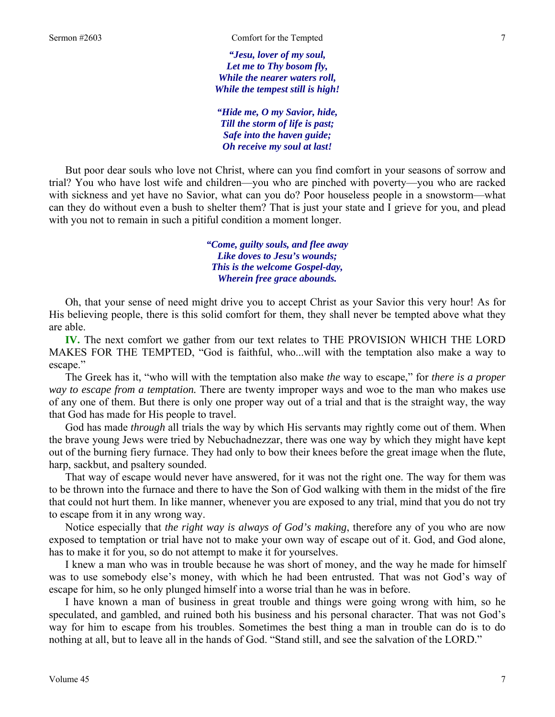*"Jesu, lover of my soul, Let me to Thy bosom fly, While the nearer waters roll, While the tempest still is high!* 

*"Hide me, O my Savior, hide, Till the storm of life is past; Safe into the haven guide; Oh receive my soul at last!* 

 But poor dear souls who love not Christ, where can you find comfort in your seasons of sorrow and trial? You who have lost wife and children—you who are pinched with poverty—you who are racked with sickness and yet have no Savior, what can you do? Poor houseless people in a snowstorm—what can they do without even a bush to shelter them? That is just your state and I grieve for you, and plead with you not to remain in such a pitiful condition a moment longer.

> *"Come, guilty souls, and flee away Like doves to Jesu's wounds; This is the welcome Gospel-day, Wherein free grace abounds.*

 Oh, that your sense of need might drive you to accept Christ as your Savior this very hour! As for His believing people, there is this solid comfort for them, they shall never be tempted above what they are able.

**IV.** The next comfort we gather from our text relates to THE PROVISION WHICH THE LORD MAKES FOR THE TEMPTED, "God is faithful, who...will with the temptation also make a way to escape."

 The Greek has it, "who will with the temptation also make *the* way to escape," for *there is a proper way to escape from a temptation.* There are twenty improper ways and woe to the man who makes use of any one of them. But there is only one proper way out of a trial and that is the straight way, the way that God has made for His people to travel.

 God has made *through* all trials the way by which His servants may rightly come out of them. When the brave young Jews were tried by Nebuchadnezzar, there was one way by which they might have kept out of the burning fiery furnace. They had only to bow their knees before the great image when the flute, harp, sackbut, and psaltery sounded.

 That way of escape would never have answered, for it was not the right one. The way for them was to be thrown into the furnace and there to have the Son of God walking with them in the midst of the fire that could not hurt them. In like manner, whenever you are exposed to any trial, mind that you do not try to escape from it in any wrong way.

 Notice especially that *the right way is always of God's making*, therefore any of you who are now exposed to temptation or trial have not to make your own way of escape out of it. God, and God alone, has to make it for you, so do not attempt to make it for yourselves.

 I knew a man who was in trouble because he was short of money, and the way he made for himself was to use somebody else's money, with which he had been entrusted. That was not God's way of escape for him, so he only plunged himself into a worse trial than he was in before.

 I have known a man of business in great trouble and things were going wrong with him, so he speculated, and gambled, and ruined both his business and his personal character. That was not God's way for him to escape from his troubles. Sometimes the best thing a man in trouble can do is to do nothing at all, but to leave all in the hands of God. "Stand still, and see the salvation of the LORD."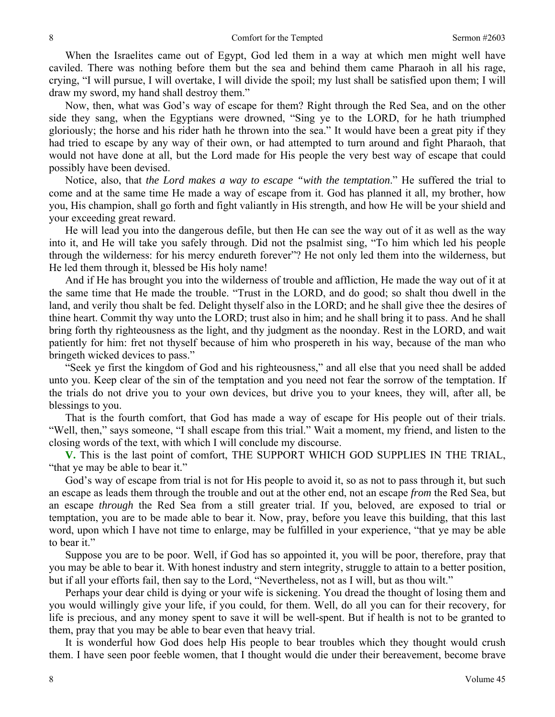When the Israelites came out of Egypt, God led them in a way at which men might well have caviled. There was nothing before them but the sea and behind them came Pharaoh in all his rage, crying, "I will pursue, I will overtake, I will divide the spoil; my lust shall be satisfied upon them; I will draw my sword, my hand shall destroy them."

 Now, then, what was God's way of escape for them? Right through the Red Sea, and on the other side they sang, when the Egyptians were drowned, "Sing ye to the LORD, for he hath triumphed gloriously; the horse and his rider hath he thrown into the sea." It would have been a great pity if they had tried to escape by any way of their own, or had attempted to turn around and fight Pharaoh, that would not have done at all, but the Lord made for His people the very best way of escape that could possibly have been devised.

 Notice, also, that *the Lord makes a way to escape "with the temptation*." He suffered the trial to come and at the same time He made a way of escape from it. God has planned it all, my brother, how you, His champion, shall go forth and fight valiantly in His strength, and how He will be your shield and your exceeding great reward.

 He will lead you into the dangerous defile, but then He can see the way out of it as well as the way into it, and He will take you safely through. Did not the psalmist sing, "To him which led his people through the wilderness: for his mercy endureth forever"? He not only led them into the wilderness, but He led them through it, blessed be His holy name!

 And if He has brought you into the wilderness of trouble and affliction, He made the way out of it at the same time that He made the trouble. "Trust in the LORD, and do good; so shalt thou dwell in the land, and verily thou shalt be fed. Delight thyself also in the LORD; and he shall give thee the desires of thine heart. Commit thy way unto the LORD; trust also in him; and he shall bring it to pass. And he shall bring forth thy righteousness as the light, and thy judgment as the noonday. Rest in the LORD, and wait patiently for him: fret not thyself because of him who prospereth in his way, because of the man who bringeth wicked devices to pass."

 "Seek ye first the kingdom of God and his righteousness," and all else that you need shall be added unto you. Keep clear of the sin of the temptation and you need not fear the sorrow of the temptation. If the trials do not drive you to your own devices, but drive you to your knees, they will, after all, be blessings to you.

 That is the fourth comfort, that God has made a way of escape for His people out of their trials. "Well, then," says someone, "I shall escape from this trial." Wait a moment, my friend, and listen to the closing words of the text, with which I will conclude my discourse.

**V.** This is the last point of comfort, THE SUPPORT WHICH GOD SUPPLIES IN THE TRIAL, "that ye may be able to bear it."

 God's way of escape from trial is not for His people to avoid it, so as not to pass through it, but such an escape as leads them through the trouble and out at the other end, not an escape *from* the Red Sea, but an escape *through* the Red Sea from a still greater trial. If you, beloved, are exposed to trial or temptation, you are to be made able to bear it. Now, pray, before you leave this building, that this last word, upon which I have not time to enlarge, may be fulfilled in your experience, "that ye may be able to bear it."

 Suppose you are to be poor. Well, if God has so appointed it, you will be poor, therefore, pray that you may be able to bear it. With honest industry and stern integrity, struggle to attain to a better position, but if all your efforts fail, then say to the Lord, "Nevertheless, not as I will, but as thou wilt."

 Perhaps your dear child is dying or your wife is sickening. You dread the thought of losing them and you would willingly give your life, if you could, for them. Well, do all you can for their recovery, for life is precious, and any money spent to save it will be well-spent. But if health is not to be granted to them, pray that you may be able to bear even that heavy trial.

 It is wonderful how God does help His people to bear troubles which they thought would crush them. I have seen poor feeble women, that I thought would die under their bereavement, become brave